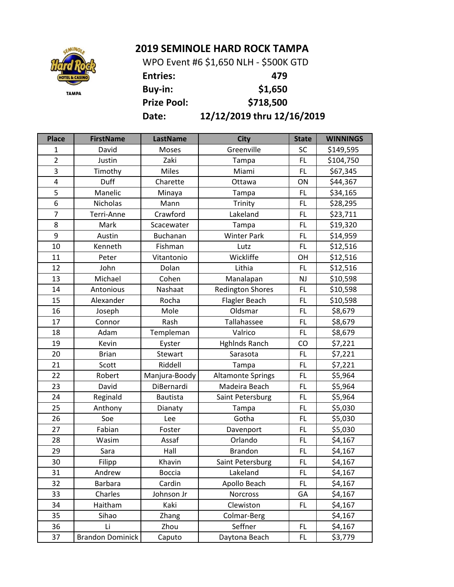## **2019 SEMINOLE HARD ROCK TAMPA**



**Entries: 479 Buy-in: \$1,650 Prize Pool: \$718,500 Date: 12/12/2019 thru 12/16/2019** WPO Event #6 \$1,650 NLH - \$500K GTD

**Place FirstName LastName City State WINNINGS** 1 | David | Moses | Greenville | SC | \$149,595 2 | Justin | Zaki | Tampa | FL | \$104,750 3 | Timothy | Miles | Miami | FL | \$67,345 4 | Duff | Charette | Ottawa | ON | \$44,367 5 | Manelic | Minaya | Tampa | FL | \$34,165 6 | Nicholas | Mann | Trinity | FL | \$28,295 7 | Terri-Anne | Crawford | Lakeland | FL | \$23,711 8 | Mark | Scacewater | Tampa | FL | \$19,320 9 | Austin | Buchanan | Winter Park | FL | \$14,959 10 | Kenneth | Fishman | Lutz | FL | \$12,516 11 | Peter | Vitantonio | Wickliffe | OH | \$12,516 12 | John | Dolan | Lithia | FL | \$12,516 13 | Michael | Cohen | Manalapan | NJ | \$10,598 14 | Antonious | Nashaat | Redington Shores | FL | \$10,598 15 | Alexander | Rocha | Flagler-Beach | FL | \$10,598 16 | Joseph | Mole | Oldsmar | FL | \$8,679 17 Connor Rash Tallahassee FL \$8,679 18 | Adam | Templeman | Valrico | FL | \$8,679 19 | Kevin | Eyster | Hghlnds Ranch | CO | \$7,221 20 | Brian | Stewart | Sarasota | FL | \$7,221 21 | Scott | Riddell | Tampa | FL | \$7,221 22 Robert Manjura-Boody Altamonte Springs FL \$5,964 23 David | DiBernardi | Madeira Beach | FL | \$5,964 24 Reginald | Bautista | Saint Petersburg | FL | \$5,964 25 | Anthony | Dianaty | Tampa | FL | \$5,030 26 | Soe | Lee | Gotha | FL | \$5,030 27 | Fabian | Foster | Davenport | FL | \$5,030 28 | Wasim | Assaf | Orlando | FL | \$4,167 29 | Sara | Hall | Brandon | FL | \$4,167 30 Filipp | Khavin | Saint Petersburg | FL | \$4,167 31 | Andrew | Boccia | Lakeland | FL | \$4,167 32 Barbara | Cardin | Apollo Beach | FL | \$4,167 33 | Charles | Johnson Jr | Norcross | GA | \$4,167 34 | Haitham | Kaki | Clewiston | FL | \$4,167 35 Sihao | Zhang | Colmar-Berg | | \$4,167 36 | Li | Zhou | Seffner | FL | \$4,167 37 | Brandon Dominick | Caputo | Daytona Beach | FL | \$3,779